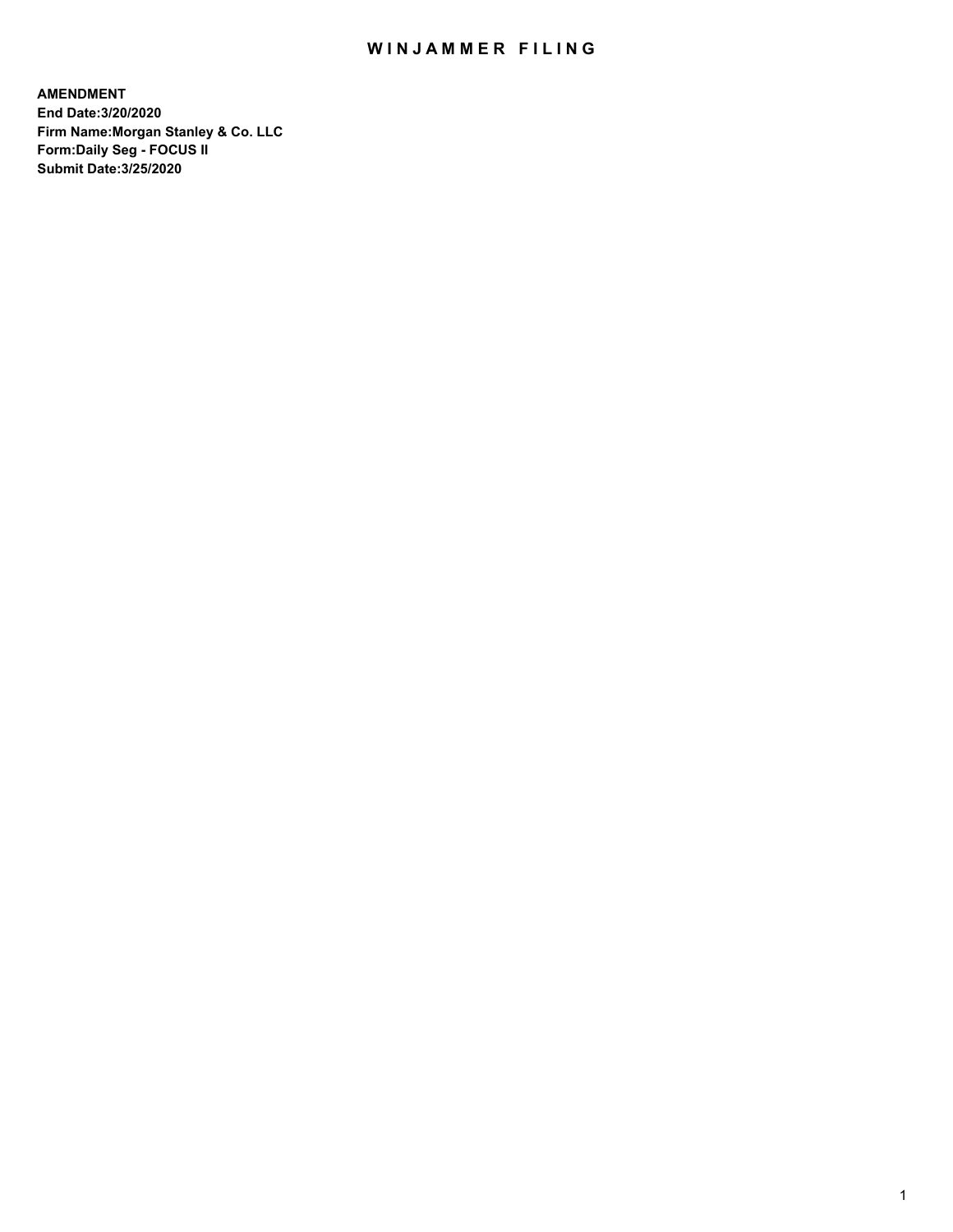## WIN JAMMER FILING

**AMENDMENT End Date:3/20/2020 Firm Name:Morgan Stanley & Co. LLC Form:Daily Seg - FOCUS II Submit Date:3/25/2020**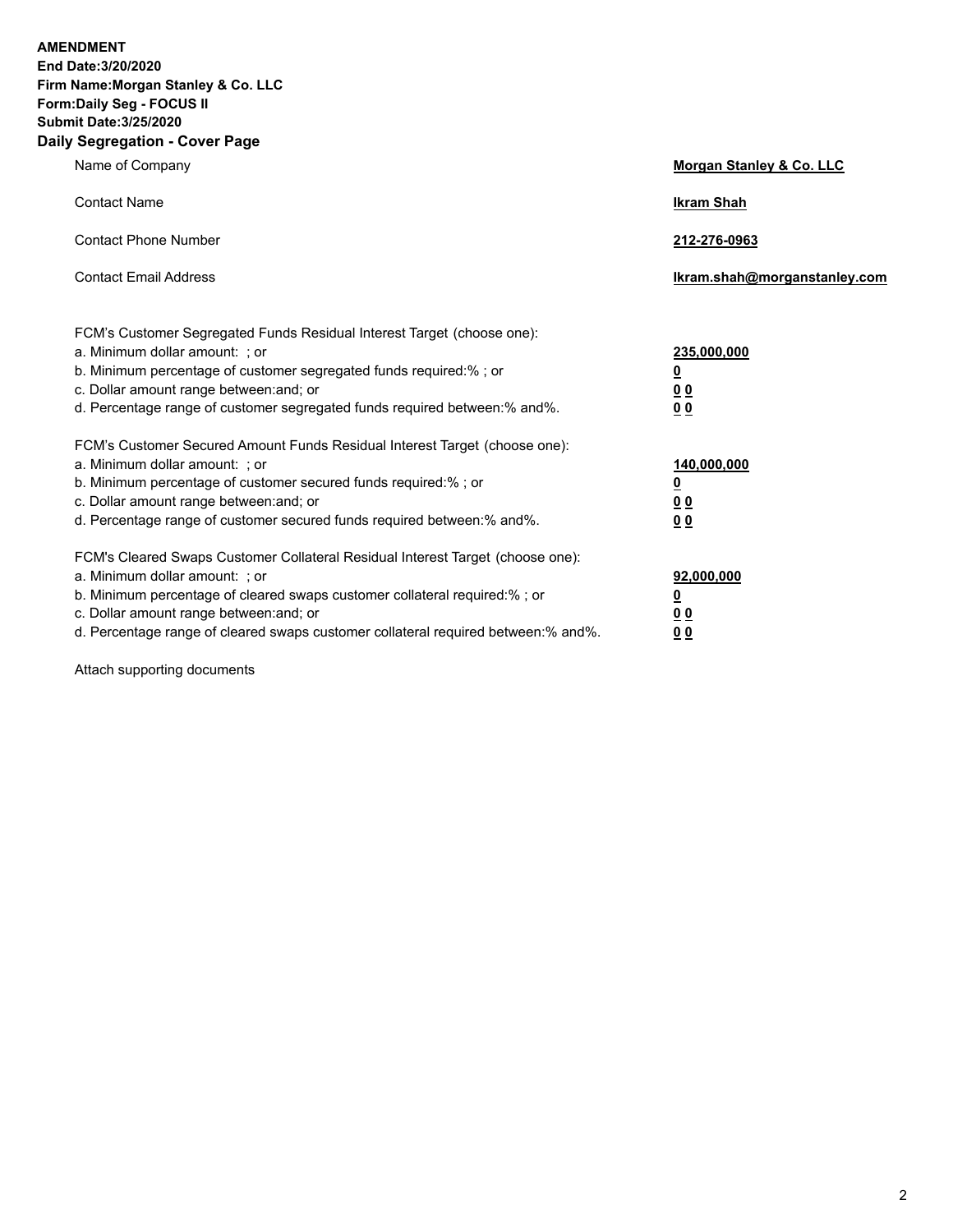**AMENDMENT End Date:3/20/2020 Firm Name:Morgan Stanley & Co. LLC Form:Daily Seg - FOCUS II Submit Date:3/25/2020 Daily Segregation - Cover Page**

| Name of Company                                                                   | Morgan Stanley & Co. LLC     |
|-----------------------------------------------------------------------------------|------------------------------|
| <b>Contact Name</b>                                                               | <b>Ikram Shah</b>            |
| <b>Contact Phone Number</b>                                                       | 212-276-0963                 |
| <b>Contact Email Address</b>                                                      | Ikram.shah@morganstanley.com |
| FCM's Customer Segregated Funds Residual Interest Target (choose one):            |                              |
| a. Minimum dollar amount: ; or                                                    | 235,000,000                  |
| b. Minimum percentage of customer segregated funds required:%; or                 | <u>0</u>                     |
| c. Dollar amount range between: and; or                                           | 0 <sub>0</sub>               |
| d. Percentage range of customer segregated funds required between:% and%.         | <u>00</u>                    |
| FCM's Customer Secured Amount Funds Residual Interest Target (choose one):        |                              |
| a. Minimum dollar amount: ; or                                                    | 140,000,000                  |
| b. Minimum percentage of customer secured funds required:%; or                    | <u>0</u>                     |
| c. Dollar amount range between: and; or                                           | <u>00</u>                    |
| d. Percentage range of customer secured funds required between: % and %.          | 0 <sup>0</sup>               |
| FCM's Cleared Swaps Customer Collateral Residual Interest Target (choose one):    |                              |
| a. Minimum dollar amount: ; or                                                    | 92,000,000                   |
| b. Minimum percentage of cleared swaps customer collateral required:% ; or        | <u>0</u>                     |
| c. Dollar amount range between: and; or                                           | 00                           |
| d. Percentage range of cleared swaps customer collateral required between:% and%. | 00                           |

Attach supporting documents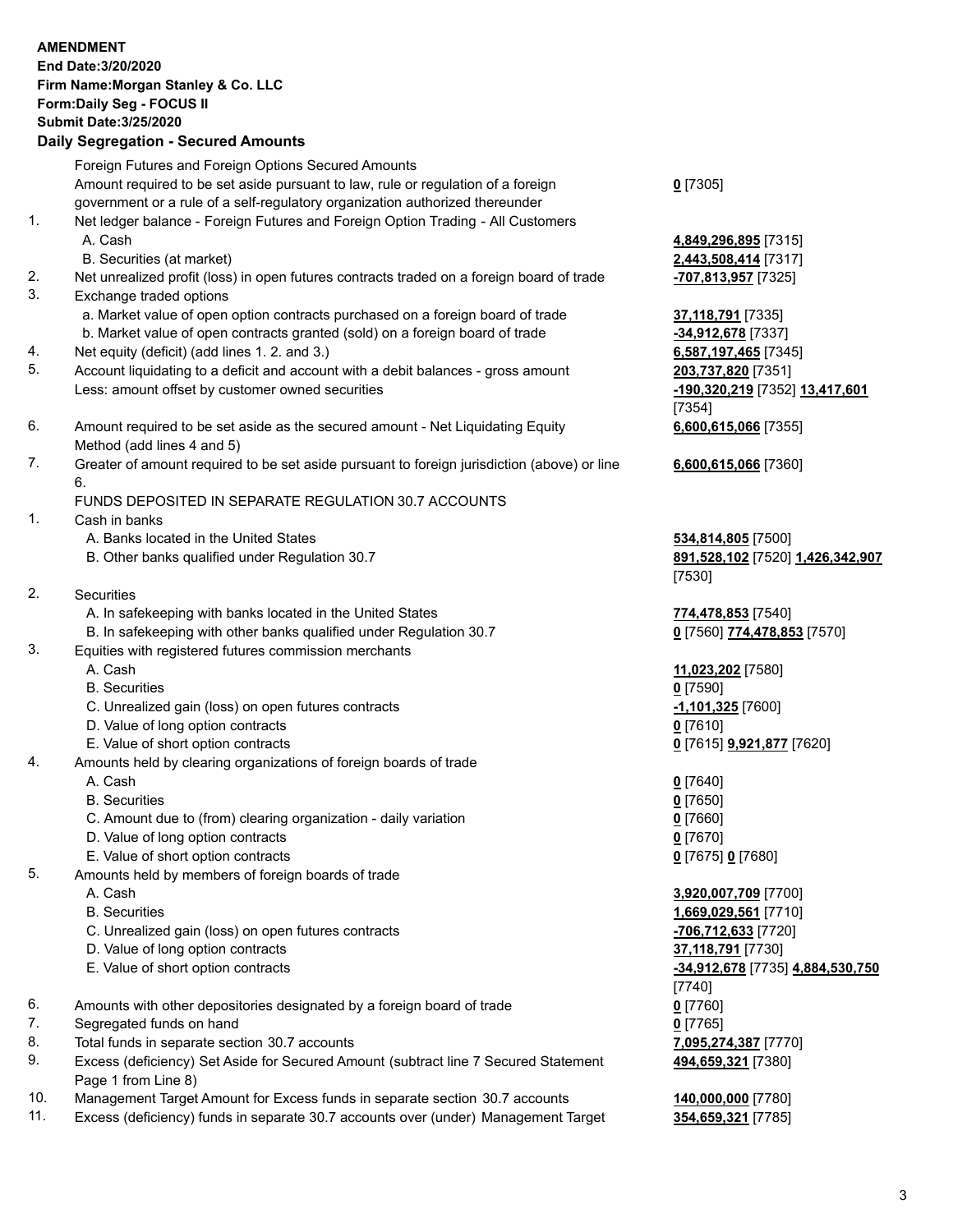|     | <b>AMENDMENT</b><br>End Date: 3/20/2020<br>Firm Name: Morgan Stanley & Co. LLC<br>Form: Daily Seg - FOCUS II<br><b>Submit Date: 3/25/2020</b><br><b>Daily Segregation - Secured Amounts</b>                                                         |                                                                |
|-----|-----------------------------------------------------------------------------------------------------------------------------------------------------------------------------------------------------------------------------------------------------|----------------------------------------------------------------|
|     | Foreign Futures and Foreign Options Secured Amounts                                                                                                                                                                                                 |                                                                |
| 1.  | Amount required to be set aside pursuant to law, rule or regulation of a foreign<br>government or a rule of a self-regulatory organization authorized thereunder<br>Net ledger balance - Foreign Futures and Foreign Option Trading - All Customers | $0$ [7305]                                                     |
|     | A. Cash                                                                                                                                                                                                                                             | 4,849,296,895 [7315]                                           |
| 2.  | B. Securities (at market)<br>Net unrealized profit (loss) in open futures contracts traded on a foreign board of trade                                                                                                                              | 2,443,508,414 [7317]<br>-707,813,957 [7325]                    |
| 3.  | Exchange traded options                                                                                                                                                                                                                             |                                                                |
|     | a. Market value of open option contracts purchased on a foreign board of trade<br>b. Market value of open contracts granted (sold) on a foreign board of trade                                                                                      | 37,118,791 [7335]<br>-34,912,678 [7337]                        |
| 4.  | Net equity (deficit) (add lines 1. 2. and 3.)                                                                                                                                                                                                       | 6,587,197,465 [7345]                                           |
| 5.  | Account liquidating to a deficit and account with a debit balances - gross amount<br>Less: amount offset by customer owned securities                                                                                                               | 203,737,820 [7351]<br>-190,320,219 [7352] 13,417,601<br>[7354] |
| 6.  | Amount required to be set aside as the secured amount - Net Liquidating Equity<br>Method (add lines 4 and 5)                                                                                                                                        | 6,600,615,066 [7355]                                           |
| 7.  | Greater of amount required to be set aside pursuant to foreign jurisdiction (above) or line<br>6.                                                                                                                                                   | 6,600,615,066 [7360]                                           |
| 1.  | FUNDS DEPOSITED IN SEPARATE REGULATION 30.7 ACCOUNTS<br>Cash in banks                                                                                                                                                                               |                                                                |
|     | A. Banks located in the United States                                                                                                                                                                                                               | 534,814,805 [7500]                                             |
|     | B. Other banks qualified under Regulation 30.7                                                                                                                                                                                                      | 891,528,102 [7520] 1,426,342,907<br>[7530]                     |
| 2.  | Securities                                                                                                                                                                                                                                          |                                                                |
|     | A. In safekeeping with banks located in the United States<br>B. In safekeeping with other banks qualified under Regulation 30.7                                                                                                                     | 774,478,853 [7540]<br>0 [7560] 774,478,853 [7570]              |
| 3.  | Equities with registered futures commission merchants                                                                                                                                                                                               |                                                                |
|     | A. Cash<br><b>B.</b> Securities                                                                                                                                                                                                                     | 11,023,202 [7580]                                              |
|     | C. Unrealized gain (loss) on open futures contracts                                                                                                                                                                                                 | $0$ [7590]<br>$-1,101,325$ [7600]                              |
|     | D. Value of long option contracts                                                                                                                                                                                                                   | $0$ [7610]                                                     |
|     | E. Value of short option contracts                                                                                                                                                                                                                  | 0 [7615] 9,921,877 [7620]                                      |
| 4.  | Amounts held by clearing organizations of foreign boards of trade                                                                                                                                                                                   |                                                                |
|     | A. Cash                                                                                                                                                                                                                                             | $0$ [7640]                                                     |
|     | <b>B.</b> Securities                                                                                                                                                                                                                                | $0$ [7650]                                                     |
|     | C. Amount due to (from) clearing organization - daily variation                                                                                                                                                                                     | $0$ [7660]                                                     |
|     | D. Value of long option contracts                                                                                                                                                                                                                   | $0$ [7670]                                                     |
|     | E. Value of short option contracts                                                                                                                                                                                                                  | 0 [7675] 0 [7680]                                              |
| 5.  | Amounts held by members of foreign boards of trade<br>A. Cash                                                                                                                                                                                       | 3,920,007,709 [7700]                                           |
|     | <b>B.</b> Securities                                                                                                                                                                                                                                | 1,669,029,561 [7710]                                           |
|     | C. Unrealized gain (loss) on open futures contracts                                                                                                                                                                                                 | -706,712,633 [7720]                                            |
|     | D. Value of long option contracts                                                                                                                                                                                                                   | 37,118,791 [7730]                                              |
|     | E. Value of short option contracts                                                                                                                                                                                                                  | -34,912,678 [7735] 4,884,530,750<br>[7740]                     |
| 6.  | Amounts with other depositories designated by a foreign board of trade                                                                                                                                                                              | $0$ [7760]                                                     |
| 7.  | Segregated funds on hand                                                                                                                                                                                                                            | $0$ [7765]                                                     |
| 8.  | Total funds in separate section 30.7 accounts                                                                                                                                                                                                       | 7,095,274,387 [7770]                                           |
| 9.  | Excess (deficiency) Set Aside for Secured Amount (subtract line 7 Secured Statement<br>Page 1 from Line 8)                                                                                                                                          | 494,659,321 [7380]                                             |
| 10. | Management Target Amount for Excess funds in separate section 30.7 accounts                                                                                                                                                                         | 140,000,000 [7780]                                             |
| 11. | Excess (deficiency) funds in separate 30.7 accounts over (under) Management Target                                                                                                                                                                  | 354,659,321 [7785]                                             |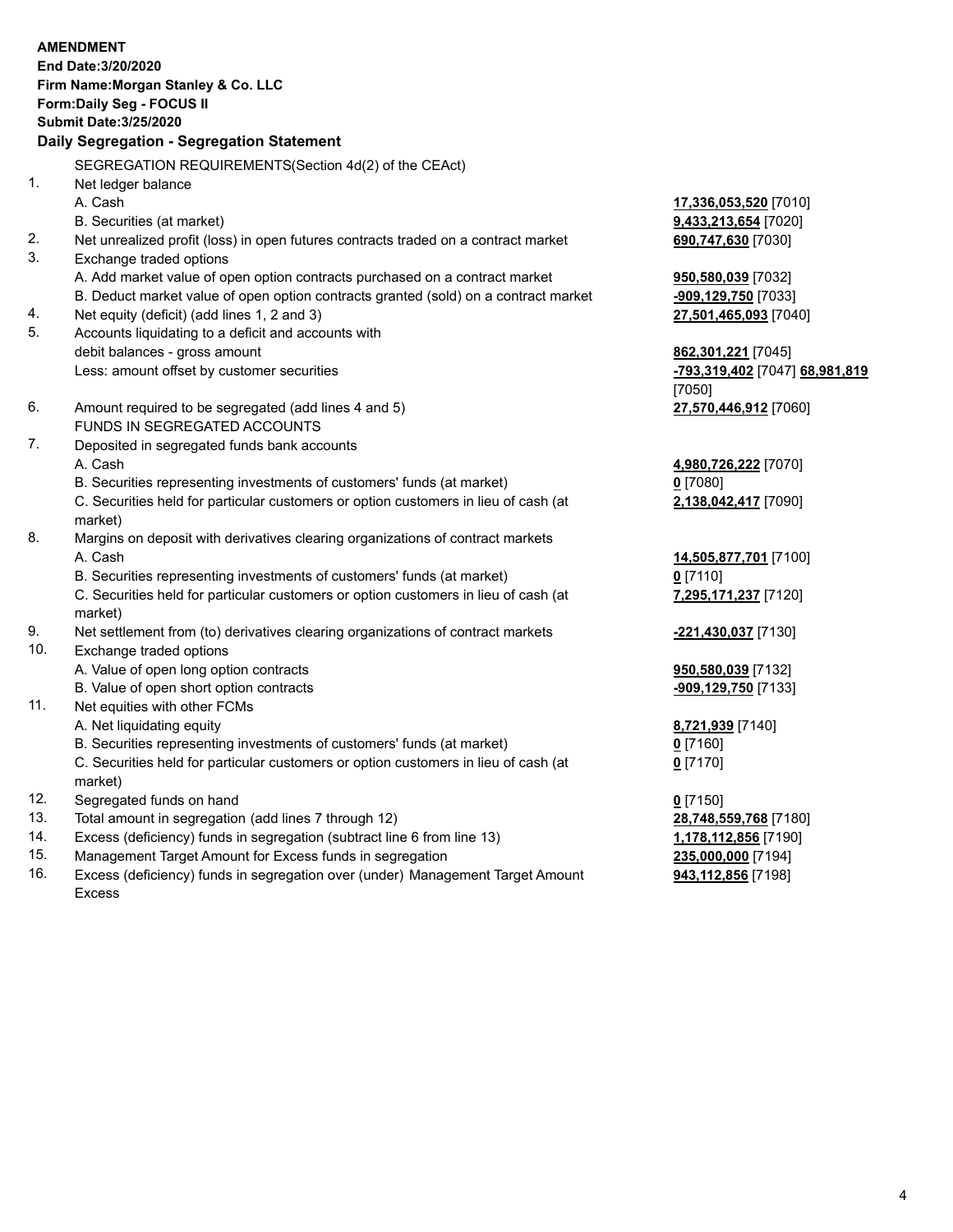|          | <b>AMENDMENT</b><br>End Date: 3/20/2020<br>Firm Name: Morgan Stanley & Co. LLC<br>Form: Daily Seg - FOCUS II<br><b>Submit Date: 3/25/2020</b><br>Daily Segregation - Segregation Statement                                                                               |                                                                            |
|----------|--------------------------------------------------------------------------------------------------------------------------------------------------------------------------------------------------------------------------------------------------------------------------|----------------------------------------------------------------------------|
|          |                                                                                                                                                                                                                                                                          |                                                                            |
|          | SEGREGATION REQUIREMENTS(Section 4d(2) of the CEAct)                                                                                                                                                                                                                     |                                                                            |
| 1.<br>2. | Net ledger balance<br>A. Cash<br>B. Securities (at market)<br>Net unrealized profit (loss) in open futures contracts traded on a contract market                                                                                                                         | 17,336,053,520 [7010]<br><b>9,433,213,654</b> [7020]<br>690,747,630 [7030] |
| 3.       | Exchange traded options                                                                                                                                                                                                                                                  |                                                                            |
| 4.<br>5. | A. Add market value of open option contracts purchased on a contract market<br>B. Deduct market value of open option contracts granted (sold) on a contract market<br>Net equity (deficit) (add lines 1, 2 and 3)<br>Accounts liquidating to a deficit and accounts with | 950,580,039 [7032]<br>-909,129,750 [7033]<br>27,501,465,093 [7040]         |
|          | debit balances - gross amount<br>Less: amount offset by customer securities                                                                                                                                                                                              | 862,301,221 [7045]<br>-793,319,402 [7047] 68,981,819<br>[7050]             |
| 6.       | Amount required to be segregated (add lines 4 and 5)<br>FUNDS IN SEGREGATED ACCOUNTS                                                                                                                                                                                     | 27,570,446,912 [7060]                                                      |
| 7.       | Deposited in segregated funds bank accounts                                                                                                                                                                                                                              |                                                                            |
|          | A. Cash                                                                                                                                                                                                                                                                  | 4,980,726,222 [7070]                                                       |
|          | B. Securities representing investments of customers' funds (at market)<br>C. Securities held for particular customers or option customers in lieu of cash (at<br>market)                                                                                                 | $0$ [7080]<br>2,138,042,417 [7090]                                         |
| 8.       | Margins on deposit with derivatives clearing organizations of contract markets<br>A. Cash                                                                                                                                                                                | 14,505,877,701 [7100]                                                      |
|          | B. Securities representing investments of customers' funds (at market)<br>C. Securities held for particular customers or option customers in lieu of cash (at<br>market)                                                                                                 | $0$ [7110]<br>7,295,171,237 [7120]                                         |
| 9.       | Net settlement from (to) derivatives clearing organizations of contract markets                                                                                                                                                                                          | -221,430,037 [7130]                                                        |
| 10.      | Exchange traded options<br>A. Value of open long option contracts                                                                                                                                                                                                        | 950,580,039 [7132]                                                         |
|          | B. Value of open short option contracts                                                                                                                                                                                                                                  | -909,129,750 [7133]                                                        |
| 11.      | Net equities with other FCMs                                                                                                                                                                                                                                             |                                                                            |
|          | A. Net liquidating equity                                                                                                                                                                                                                                                | 8,721,939 [7140]                                                           |
|          | B. Securities representing investments of customers' funds (at market)<br>C. Securities held for particular customers or option customers in lieu of cash (at<br>market)                                                                                                 | $0$ [7160]<br>$0$ [7170]                                                   |
| 12.      | Segregated funds on hand                                                                                                                                                                                                                                                 | $0$ [7150]                                                                 |
| 13.      | Total amount in segregation (add lines 7 through 12)                                                                                                                                                                                                                     | 28,748,559,768 [7180]                                                      |
| 14.      | Excess (deficiency) funds in segregation (subtract line 6 from line 13)                                                                                                                                                                                                  | 1,178,112,856 [7190]                                                       |
|          |                                                                                                                                                                                                                                                                          |                                                                            |

15. Management Target Amount for Excess funds in segregation<br>16. Excess (deficiency) funds in segregation over (under) Management Target Amount **235,000,000** [7198] Excess (deficiency) funds in segregation over (under) Management Target Amount Excess

**943,112,856** [7198]